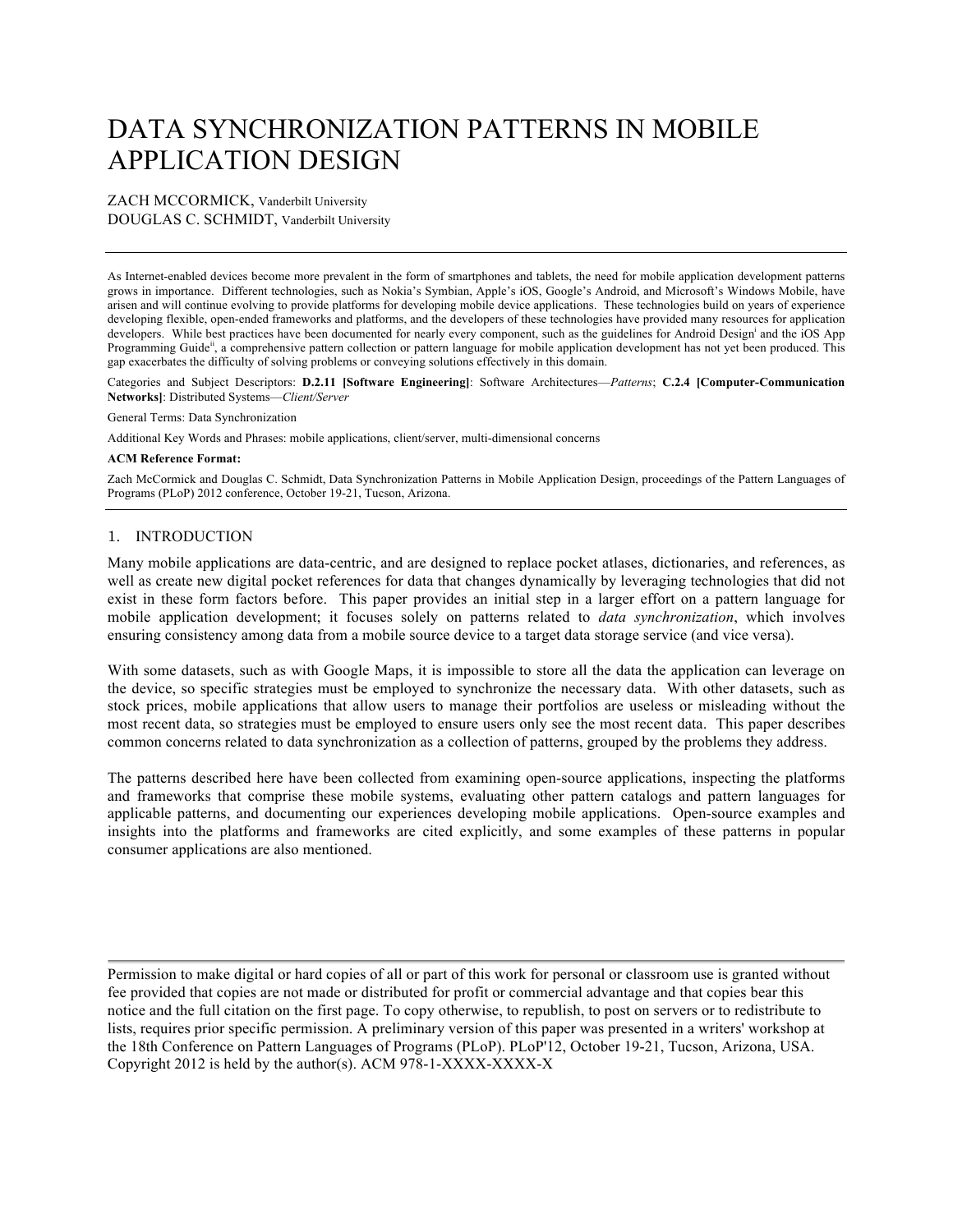# DATA SYNCHRONIZATION PATTERNS IN MOBILE APPLICATION DESIGN

#### ZACH MCCORMICK, Vanderbilt University DOUGLAS C. SCHMIDT, Vanderbilt University

As Internet-enabled devices become more prevalent in the form of smartphones and tablets, the need for mobile application development patterns grows in importance. Different technologies, such as Nokia's Symbian, Apple's iOS, Google's Android, and Microsoft's Windows Mobile, have arisen and will continue evolving to provide platforms for developing mobile device applications. These technologies build on years of experience developing flexible, open-ended frameworks and platforms, and the developers of these technologies have provided many resources for application developers. While best practices have been documented for nearly every component, such as the guidelines for Android Design<sup>i</sup> and the iOS App Programming Guide<sup>ii</sup>, a comprehensive pattern collection or pattern language for mobile application development has not yet been produced. This gap exacerbates the difficulty of solving problems or conveying solutions effectively in this domain.

Categories and Subject Descriptors: **D.2.11 [Software Engineering]**: Software Architectures—*Patterns*; **C.2.4 [Computer-Communication Networks]**: Distributed Systems—*Client/Server*

General Terms: Data Synchronization

Additional Key Words and Phrases: mobile applications, client/server, multi-dimensional concerns

#### **ACM Reference Format:**

Zach McCormick and Douglas C. Schmidt, Data Synchronization Patterns in Mobile Application Design, proceedings of the Pattern Languages of Programs (PLoP) 2012 conference, October 19-21, Tucson, Arizona.

#### 1. INTRODUCTION

Many mobile applications are data-centric, and are designed to replace pocket atlases, dictionaries, and references, as well as create new digital pocket references for data that changes dynamically by leveraging technologies that did not exist in these form factors before. This paper provides an initial step in a larger effort on a pattern language for mobile application development; it focuses solely on patterns related to *data synchronization*, which involves ensuring consistency among data from a mobile source device to a target data storage service (and vice versa).

With some datasets, such as with Google Maps, it is impossible to store all the data the application can leverage on the device, so specific strategies must be employed to synchronize the necessary data. With other datasets, such as stock prices, mobile applications that allow users to manage their portfolios are useless or misleading without the most recent data, so strategies must be employed to ensure users only see the most recent data. This paper describes common concerns related to data synchronization as a collection of patterns, grouped by the problems they address.

The patterns described here have been collected from examining open-source applications, inspecting the platforms and frameworks that comprise these mobile systems, evaluating other pattern catalogs and pattern languages for applicable patterns, and documenting our experiences developing mobile applications. Open-source examples and insights into the platforms and frameworks are cited explicitly, and some examples of these patterns in popular consumer applications are also mentioned.

Permission to make digital or hard copies of all or part of this work for personal or classroom use is granted without fee provided that copies are not made or distributed for profit or commercial advantage and that copies bear this notice and the full citation on the first page. To copy otherwise, to republish, to post on servers or to redistribute to lists, requires prior specific permission. A preliminary version of this paper was presented in a writers' workshop at the 18th Conference on Pattern Languages of Programs (PLoP). PLoP'12, October 19-21, Tucson, Arizona, USA. Copyright 2012 is held by the author(s). ACM 978-1-XXXX-XXXX-X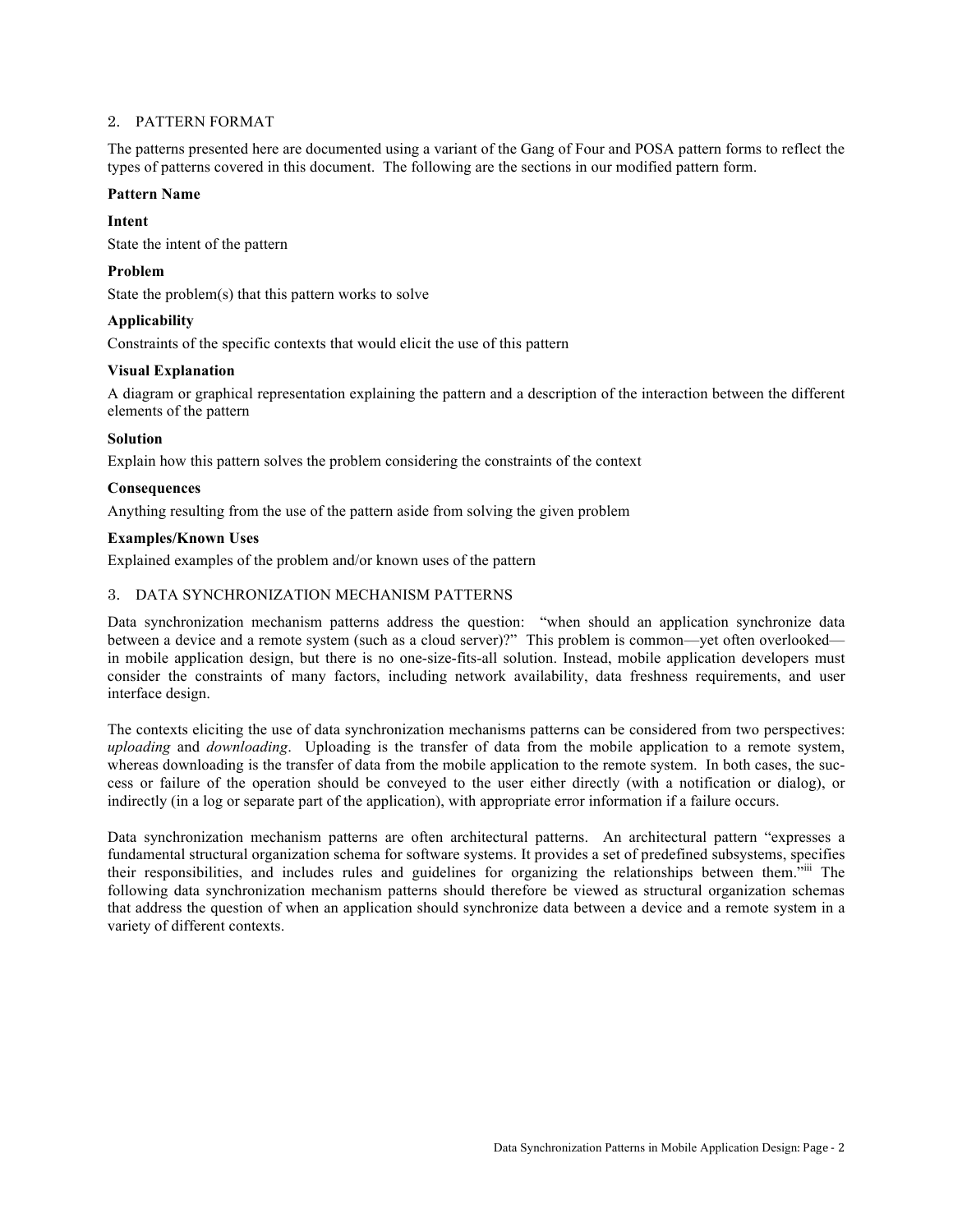#### 2. PATTERN FORMAT

The patterns presented here are documented using a variant of the Gang of Four and POSA pattern forms to reflect the types of patterns covered in this document. The following are the sections in our modified pattern form.

#### **Pattern Name**

## **Intent**

State the intent of the pattern

# **Problem**

State the problem(s) that this pattern works to solve

# **Applicability**

Constraints of the specific contexts that would elicit the use of this pattern

# **Visual Explanation**

A diagram or graphical representation explaining the pattern and a description of the interaction between the different elements of the pattern

# **Solution**

Explain how this pattern solves the problem considering the constraints of the context

# **Consequences**

Anything resulting from the use of the pattern aside from solving the given problem

# **Examples/Known Uses**

Explained examples of the problem and/or known uses of the pattern

# 3. DATA SYNCHRONIZATION MECHANISM PATTERNS

Data synchronization mechanism patterns address the question: "when should an application synchronize data between a device and a remote system (such as a cloud server)?" This problem is common—yet often overlooked in mobile application design, but there is no one-size-fits-all solution. Instead, mobile application developers must consider the constraints of many factors, including network availability, data freshness requirements, and user interface design.

The contexts eliciting the use of data synchronization mechanisms patterns can be considered from two perspectives: *uploading* and *downloading*. Uploading is the transfer of data from the mobile application to a remote system, whereas downloading is the transfer of data from the mobile application to the remote system. In both cases, the success or failure of the operation should be conveyed to the user either directly (with a notification or dialog), or indirectly (in a log or separate part of the application), with appropriate error information if a failure occurs.

Data synchronization mechanism patterns are often architectural patterns. An architectural pattern "expresses a fundamental structural organization schema for software systems. It provides a set of predefined subsystems, specifies their responsibilities, and includes rules and guidelines for organizing the relationships between them.<sup>5iii</sup> The following data synchronization mechanism patterns should therefore be viewed as structural organization schemas that address the question of when an application should synchronize data between a device and a remote system in a variety of different contexts.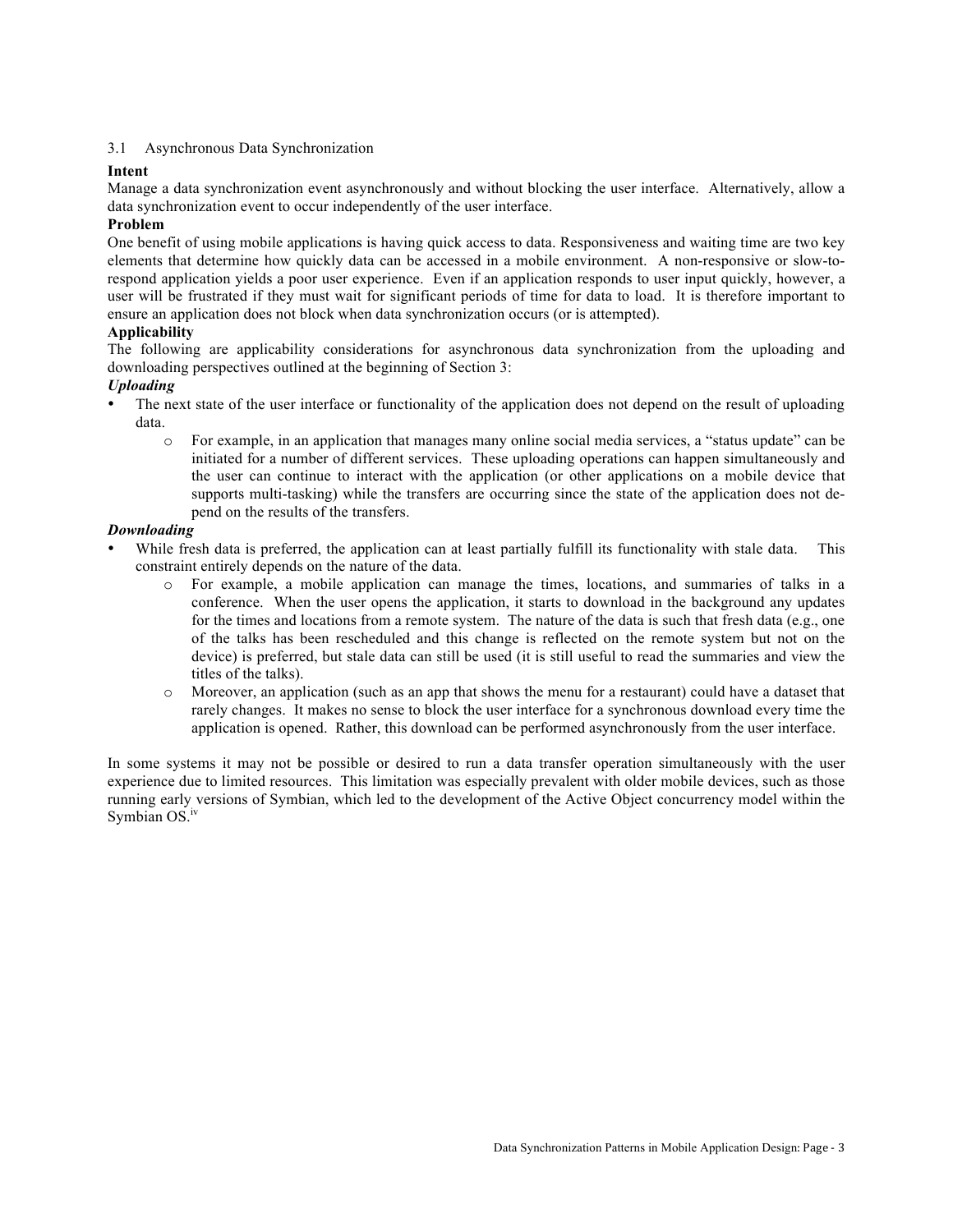#### 3.1 Asynchronous Data Synchronization

#### **Intent**

Manage a data synchronization event asynchronously and without blocking the user interface. Alternatively, allow a data synchronization event to occur independently of the user interface.

#### **Problem**

One benefit of using mobile applications is having quick access to data. Responsiveness and waiting time are two key elements that determine how quickly data can be accessed in a mobile environment. A non-responsive or slow-torespond application yields a poor user experience. Even if an application responds to user input quickly, however, a user will be frustrated if they must wait for significant periods of time for data to load. It is therefore important to ensure an application does not block when data synchronization occurs (or is attempted).

#### **Applicability**

The following are applicability considerations for asynchronous data synchronization from the uploading and downloading perspectives outlined at the beginning of Section 3:

#### *Uploading*

- The next state of the user interface or functionality of the application does not depend on the result of uploading data.
	- o For example, in an application that manages many online social media services, a "status update" can be initiated for a number of different services. These uploading operations can happen simultaneously and the user can continue to interact with the application (or other applications on a mobile device that supports multi-tasking) while the transfers are occurring since the state of the application does not depend on the results of the transfers.

#### *Downloading*

- While fresh data is preferred, the application can at least partially fulfill its functionality with stale data. This constraint entirely depends on the nature of the data.
	- o For example, a mobile application can manage the times, locations, and summaries of talks in a conference. When the user opens the application, it starts to download in the background any updates for the times and locations from a remote system. The nature of the data is such that fresh data (e.g., one of the talks has been rescheduled and this change is reflected on the remote system but not on the device) is preferred, but stale data can still be used (it is still useful to read the summaries and view the titles of the talks).
	- o Moreover, an application (such as an app that shows the menu for a restaurant) could have a dataset that rarely changes. It makes no sense to block the user interface for a synchronous download every time the application is opened. Rather, this download can be performed asynchronously from the user interface.

In some systems it may not be possible or desired to run a data transfer operation simultaneously with the user experience due to limited resources. This limitation was especially prevalent with older mobile devices, such as those running early versions of Symbian, which led to the development of the Active Object concurrency model within the Symbian  $OS.^{iv}$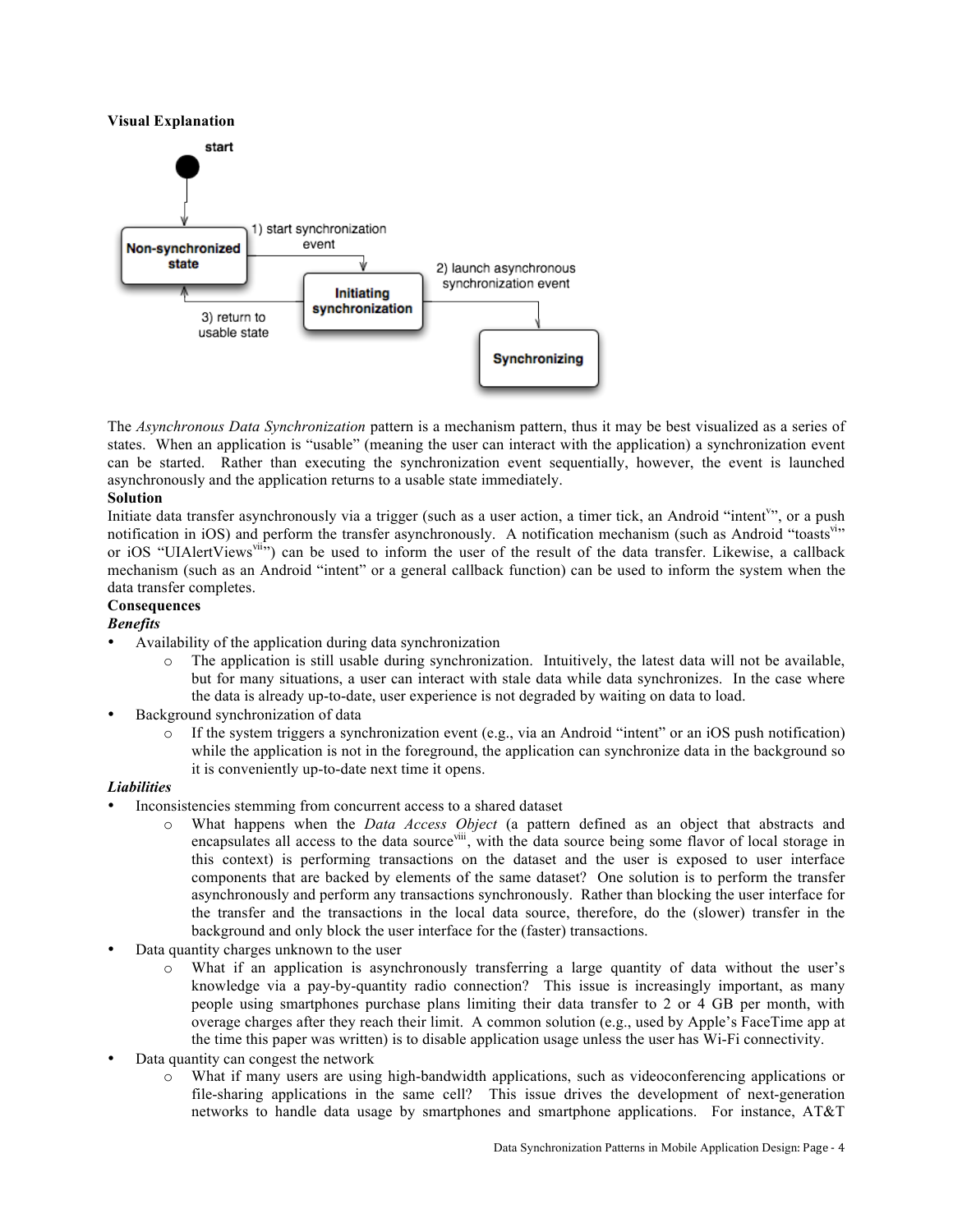#### **Visual Explanation**



The *Asynchronous Data Synchronization* pattern is a mechanism pattern, thus it may be best visualized as a series of states. When an application is "usable" (meaning the user can interact with the application) a synchronization event can be started. Rather than executing the synchronization event sequentially, however, the event is launched asynchronously and the application returns to a usable state immediately.

#### **Solution**

Initiate data transfer asynchronously via a trigger (such as a user action, a timer tick, an Android "intent"", or a push notification in iOS) and perform the transfer asynchronously. A notification mechanism (such as Android "toasts" or iOS "UIAlertViews<sup>vii</sup>") can be used to inform the user of the result of the data transfer. Likewise, a callback mechanism (such as an Android "intent" or a general callback function) can be used to inform the system when the data transfer completes.

#### **Consequences**

#### *Benefits*

- Availability of the application during data synchronization
	- $\circ$  The application is still usable during synchronization. Intuitively, the latest data will not be available, but for many situations, a user can interact with stale data while data synchronizes. In the case where the data is already up-to-date, user experience is not degraded by waiting on data to load.
- Background synchronization of data
	- o If the system triggers a synchronization event (e.g., via an Android "intent" or an iOS push notification) while the application is not in the foreground, the application can synchronize data in the background so it is conveniently up-to-date next time it opens.

#### *Liabilities*

- Inconsistencies stemming from concurrent access to a shared dataset
	- o What happens when the *Data Access Object* (a pattern defined as an object that abstracts and encapsulates all access to the data source<sup>viii</sup>, with the data source being some flavor of local storage in this context) is performing transactions on the dataset and the user is exposed to user interface components that are backed by elements of the same dataset? One solution is to perform the transfer asynchronously and perform any transactions synchronously. Rather than blocking the user interface for the transfer and the transactions in the local data source, therefore, do the (slower) transfer in the background and only block the user interface for the (faster) transactions.
- Data quantity charges unknown to the user
	- o What if an application is asynchronously transferring a large quantity of data without the user's knowledge via a pay-by-quantity radio connection? This issue is increasingly important, as many people using smartphones purchase plans limiting their data transfer to 2 or 4 GB per month, with overage charges after they reach their limit. A common solution (e.g., used by Apple's FaceTime app at the time this paper was written) is to disable application usage unless the user has Wi-Fi connectivity.
- Data quantity can congest the network
	- o What if many users are using high-bandwidth applications, such as videoconferencing applications or file-sharing applications in the same cell? This issue drives the development of next-generation networks to handle data usage by smartphones and smartphone applications. For instance, AT&T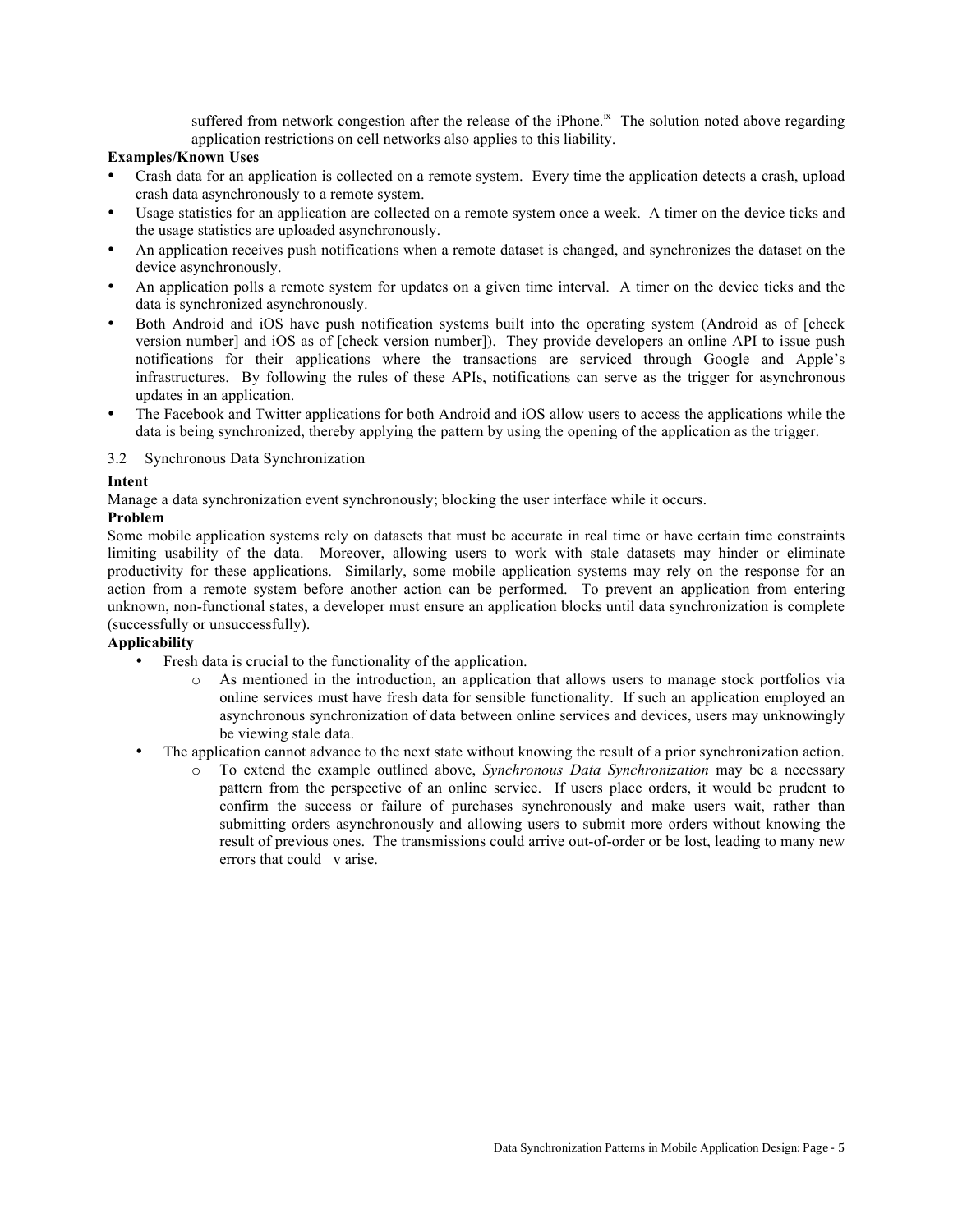suffered from network congestion after the release of the iPhone.<sup>ix</sup> The solution noted above regarding application restrictions on cell networks also applies to this liability.

# **Examples/Known Uses**

- Crash data for an application is collected on a remote system. Every time the application detects a crash, upload crash data asynchronously to a remote system.
- Usage statistics for an application are collected on a remote system once a week. A timer on the device ticks and the usage statistics are uploaded asynchronously.
- An application receives push notifications when a remote dataset is changed, and synchronizes the dataset on the device asynchronously.
- An application polls a remote system for updates on a given time interval. A timer on the device ticks and the data is synchronized asynchronously.
- Both Android and iOS have push notification systems built into the operating system (Android as of [check version number] and iOS as of [check version number]). They provide developers an online API to issue push notifications for their applications where the transactions are serviced through Google and Apple's infrastructures. By following the rules of these APIs, notifications can serve as the trigger for asynchronous updates in an application.
- The Facebook and Twitter applications for both Android and iOS allow users to access the applications while the data is being synchronized, thereby applying the pattern by using the opening of the application as the trigger.

3.2 Synchronous Data Synchronization

#### **Intent**

Manage a data synchronization event synchronously; blocking the user interface while it occurs.

#### **Problem**

Some mobile application systems rely on datasets that must be accurate in real time or have certain time constraints limiting usability of the data. Moreover, allowing users to work with stale datasets may hinder or eliminate productivity for these applications. Similarly, some mobile application systems may rely on the response for an action from a remote system before another action can be performed. To prevent an application from entering unknown, non-functional states, a developer must ensure an application blocks until data synchronization is complete (successfully or unsuccessfully).

# **Applicability**

- Fresh data is crucial to the functionality of the application.
	- o As mentioned in the introduction, an application that allows users to manage stock portfolios via online services must have fresh data for sensible functionality. If such an application employed an asynchronous synchronization of data between online services and devices, users may unknowingly be viewing stale data.
- The application cannot advance to the next state without knowing the result of a prior synchronization action.
	- o To extend the example outlined above, *Synchronous Data Synchronization* may be a necessary pattern from the perspective of an online service. If users place orders, it would be prudent to confirm the success or failure of purchases synchronously and make users wait, rather than submitting orders asynchronously and allowing users to submit more orders without knowing the result of previous ones. The transmissions could arrive out-of-order or be lost, leading to many new errors that could v arise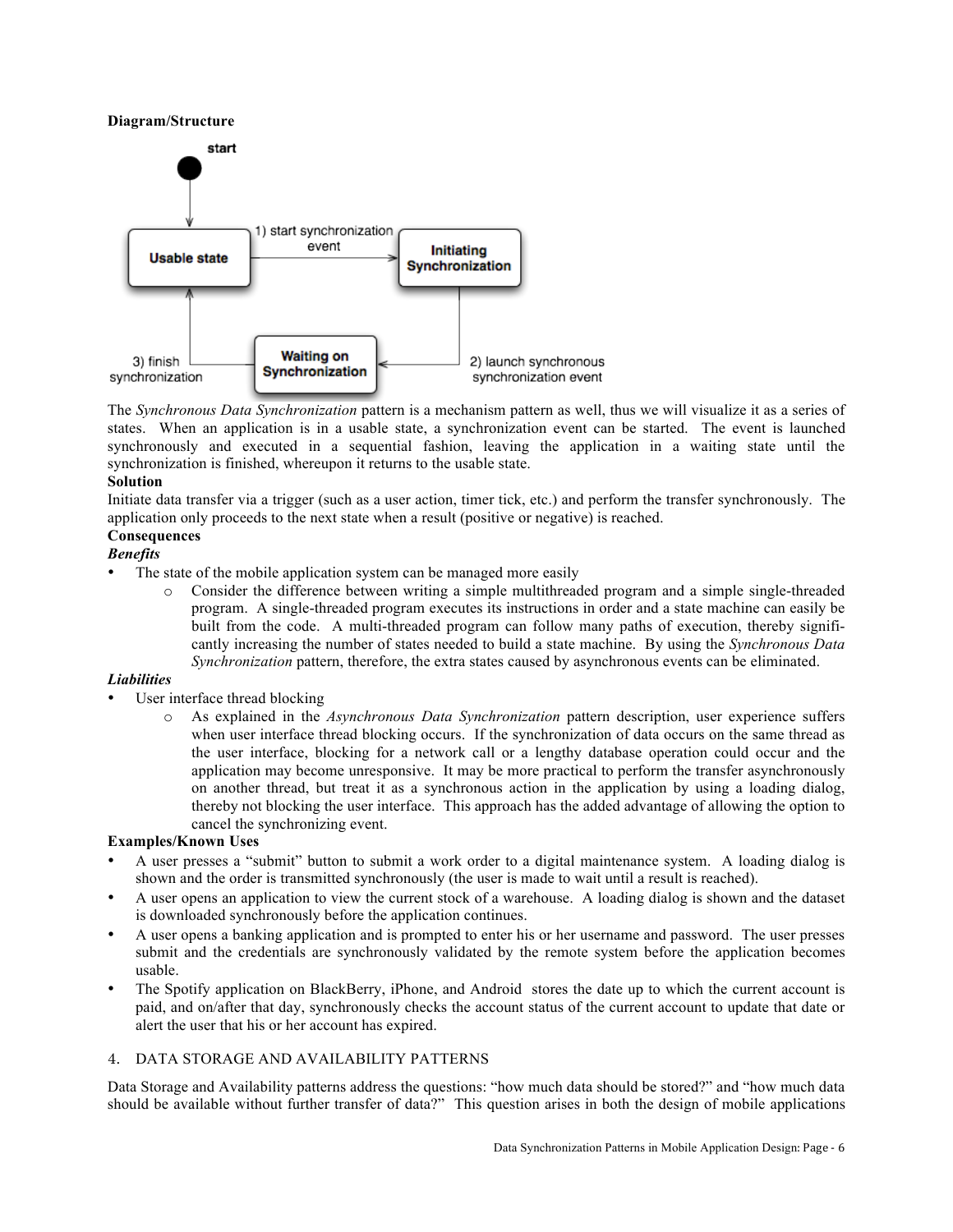## **Diagram/Structure**



The *Synchronous Data Synchronization* pattern is a mechanism pattern as well, thus we will visualize it as a series of states. When an application is in a usable state, a synchronization event can be started. The event is launched synchronously and executed in a sequential fashion, leaving the application in a waiting state until the synchronization is finished, whereupon it returns to the usable state.

#### **Solution**

Initiate data transfer via a trigger (such as a user action, timer tick, etc.) and perform the transfer synchronously. The application only proceeds to the next state when a result (positive or negative) is reached.

# **Consequences**

# *Benefits*

- The state of the mobile application system can be managed more easily
	- o Consider the difference between writing a simple multithreaded program and a simple single-threaded program. A single-threaded program executes its instructions in order and a state machine can easily be built from the code. A multi-threaded program can follow many paths of execution, thereby significantly increasing the number of states needed to build a state machine. By using the *Synchronous Data Synchronization* pattern, therefore, the extra states caused by asynchronous events can be eliminated.

# *Liabilities*

- User interface thread blocking
	- o As explained in the *Asynchronous Data Synchronization* pattern description, user experience suffers when user interface thread blocking occurs. If the synchronization of data occurs on the same thread as the user interface, blocking for a network call or a lengthy database operation could occur and the application may become unresponsive. It may be more practical to perform the transfer asynchronously on another thread, but treat it as a synchronous action in the application by using a loading dialog, thereby not blocking the user interface. This approach has the added advantage of allowing the option to cancel the synchronizing event.

# **Examples/Known Uses**

- A user presses a "submit" button to submit a work order to a digital maintenance system. A loading dialog is shown and the order is transmitted synchronously (the user is made to wait until a result is reached).
- A user opens an application to view the current stock of a warehouse. A loading dialog is shown and the dataset is downloaded synchronously before the application continues.
- A user opens a banking application and is prompted to enter his or her username and password. The user presses submit and the credentials are synchronously validated by the remote system before the application becomes usable.
- The Spotify application on BlackBerry, iPhone, and Android stores the date up to which the current account is paid, and on/after that day, synchronously checks the account status of the current account to update that date or alert the user that his or her account has expired.

# 4. DATA STORAGE AND AVAILABILITY PATTERNS

Data Storage and Availability patterns address the questions: "how much data should be stored?" and "how much data should be available without further transfer of data?" This question arises in both the design of mobile applications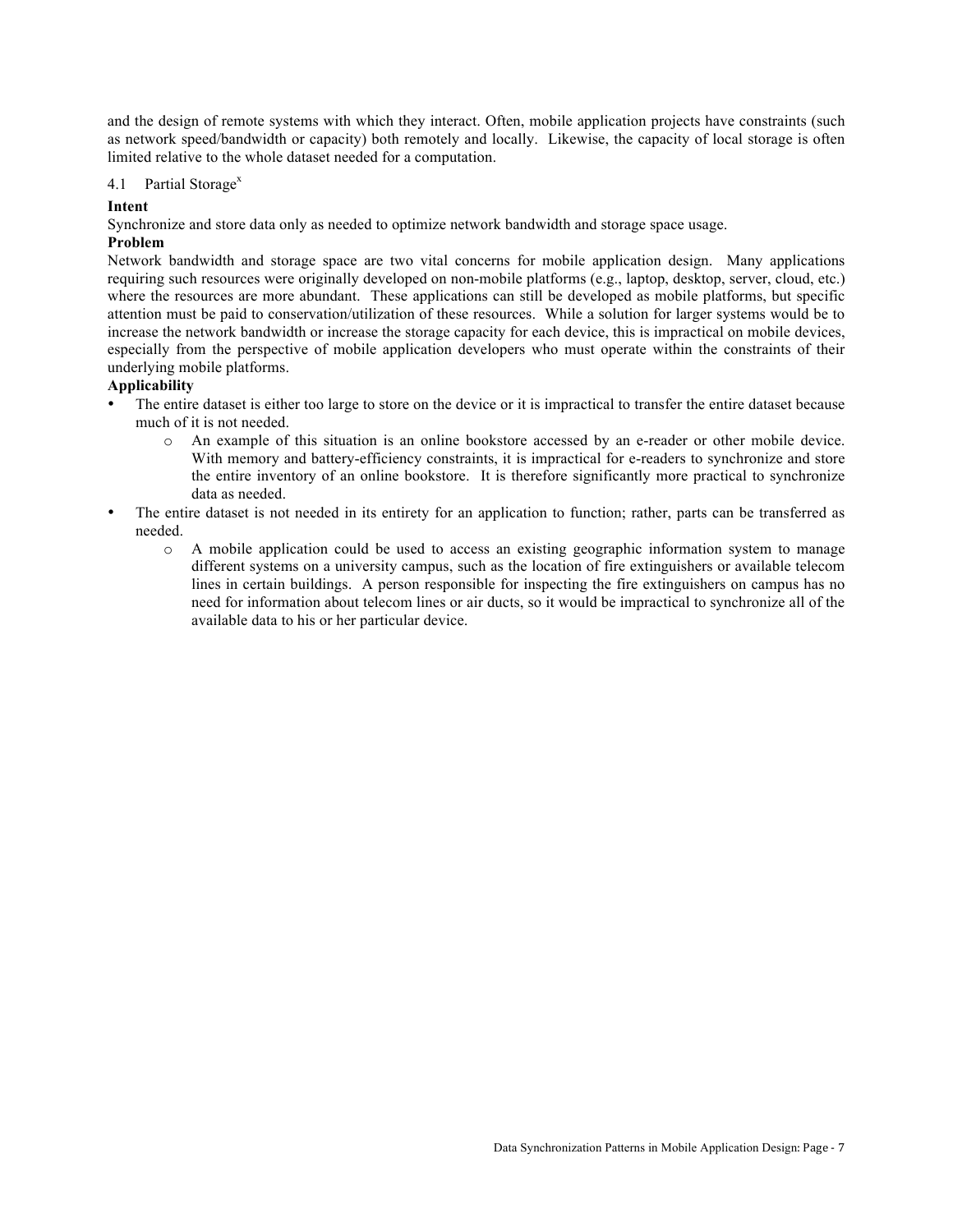and the design of remote systems with which they interact. Often, mobile application projects have constraints (such as network speed/bandwidth or capacity) both remotely and locally. Likewise, the capacity of local storage is often limited relative to the whole dataset needed for a computation.

#### 4.1 Partial Storage<sup>x</sup>

# **Intent**

Synchronize and store data only as needed to optimize network bandwidth and storage space usage.

# **Problem**

Network bandwidth and storage space are two vital concerns for mobile application design. Many applications requiring such resources were originally developed on non-mobile platforms (e.g., laptop, desktop, server, cloud, etc.) where the resources are more abundant. These applications can still be developed as mobile platforms, but specific attention must be paid to conservation/utilization of these resources. While a solution for larger systems would be to increase the network bandwidth or increase the storage capacity for each device, this is impractical on mobile devices, especially from the perspective of mobile application developers who must operate within the constraints of their underlying mobile platforms.

# **Applicability**

- The entire dataset is either too large to store on the device or it is impractical to transfer the entire dataset because much of it is not needed.
	- o An example of this situation is an online bookstore accessed by an e-reader or other mobile device. With memory and battery-efficiency constraints, it is impractical for e-readers to synchronize and store the entire inventory of an online bookstore. It is therefore significantly more practical to synchronize data as needed.
- The entire dataset is not needed in its entirety for an application to function; rather, parts can be transferred as needed.
	- o A mobile application could be used to access an existing geographic information system to manage different systems on a university campus, such as the location of fire extinguishers or available telecom lines in certain buildings. A person responsible for inspecting the fire extinguishers on campus has no need for information about telecom lines or air ducts, so it would be impractical to synchronize all of the available data to his or her particular device.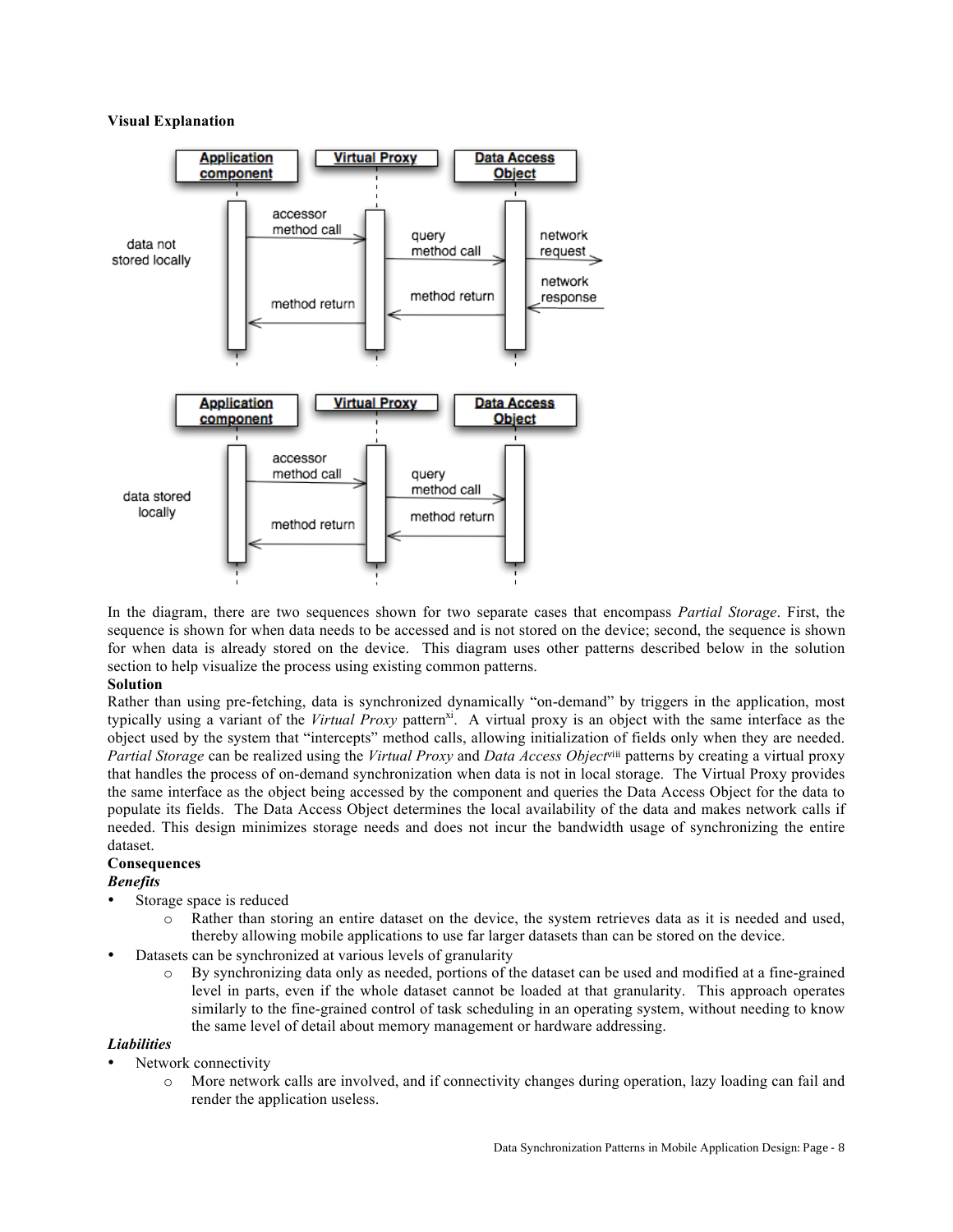#### **Visual Explanation**



In the diagram, there are two sequences shown for two separate cases that encompass *Partial Storage*. First, the sequence is shown for when data needs to be accessed and is not stored on the device; second, the sequence is shown for when data is already stored on the device. This diagram uses other patterns described below in the solution section to help visualize the process using existing common patterns.

#### **Solution**

Rather than using pre-fetching, data is synchronized dynamically "on-demand" by triggers in the application, most typically using a variant of the *Virtual Proxy* pattern<sup>xi</sup>. A virtual proxy is an object with the same interface as the object used by the system that "intercepts" method calls, allowing initialization of fields only when they are needed. *Partial Storage* can be realized using the *Virtual Proxy* and *Data Access Object*viii patterns by creating a virtual proxy that handles the process of on-demand synchronization when data is not in local storage. The Virtual Proxy provides the same interface as the object being accessed by the component and queries the Data Access Object for the data to populate its fields. The Data Access Object determines the local availability of the data and makes network calls if needed. This design minimizes storage needs and does not incur the bandwidth usage of synchronizing the entire dataset.

#### **Consequences**

# *Benefits*

- Storage space is reduced
	- o Rather than storing an entire dataset on the device, the system retrieves data as it is needed and used, thereby allowing mobile applications to use far larger datasets than can be stored on the device.
- Datasets can be synchronized at various levels of granularity
	- o By synchronizing data only as needed, portions of the dataset can be used and modified at a fine-grained level in parts, even if the whole dataset cannot be loaded at that granularity. This approach operates similarly to the fine-grained control of task scheduling in an operating system, without needing to know the same level of detail about memory management or hardware addressing.

# *Liabilities*

- Network connectivity
	- More network calls are involved, and if connectivity changes during operation, lazy loading can fail and render the application useless.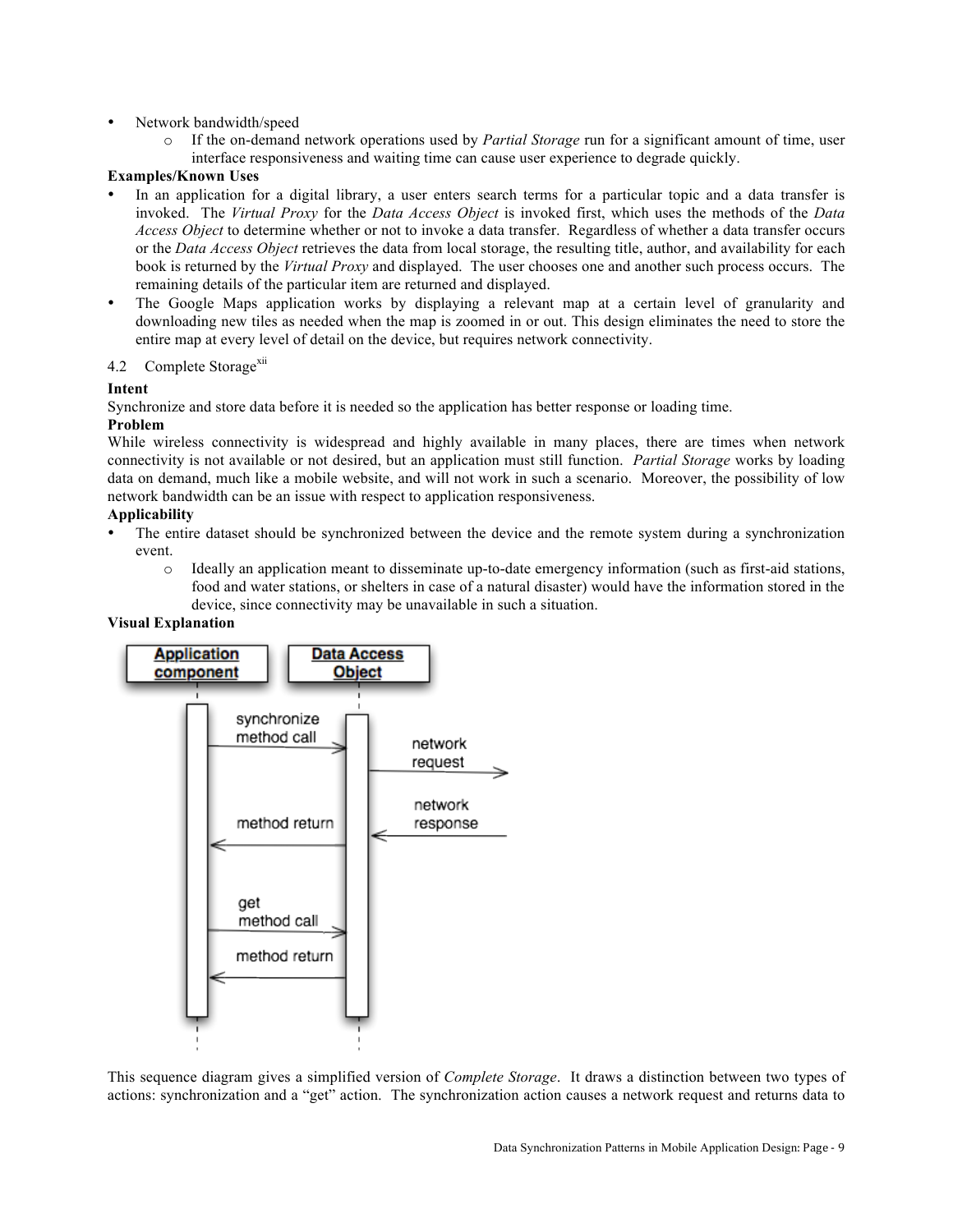## • Network bandwidth/speed

If the on-demand network operations used by *Partial Storage* run for a significant amount of time, user interface responsiveness and waiting time can cause user experience to degrade quickly.

## **Examples/Known Uses**

- In an application for a digital library, a user enters search terms for a particular topic and a data transfer is invoked. The *Virtual Proxy* for the *Data Access Object* is invoked first, which uses the methods of the *Data Access Object* to determine whether or not to invoke a data transfer. Regardless of whether a data transfer occurs or the *Data Access Object* retrieves the data from local storage, the resulting title, author, and availability for each book is returned by the *Virtual Proxy* and displayed. The user chooses one and another such process occurs. The remaining details of the particular item are returned and displayed.
- The Google Maps application works by displaying a relevant map at a certain level of granularity and downloading new tiles as needed when the map is zoomed in or out. This design eliminates the need to store the entire map at every level of detail on the device, but requires network connectivity.

#### 4.2 Complete Storage<sup>xii</sup>

#### **Intent**

Synchronize and store data before it is needed so the application has better response or loading time.

#### **Problem**

While wireless connectivity is widespread and highly available in many places, there are times when network connectivity is not available or not desired, but an application must still function. *Partial Storage* works by loading data on demand, much like a mobile website, and will not work in such a scenario. Moreover, the possibility of low network bandwidth can be an issue with respect to application responsiveness.

#### **Applicability**

- The entire dataset should be synchronized between the device and the remote system during a synchronization event.
	- o Ideally an application meant to disseminate up-to-date emergency information (such as first-aid stations, food and water stations, or shelters in case of a natural disaster) would have the information stored in the device, since connectivity may be unavailable in such a situation.

#### **Visual Explanation**



This sequence diagram gives a simplified version of *Complete Storage*. It draws a distinction between two types of actions: synchronization and a "get" action. The synchronization action causes a network request and returns data to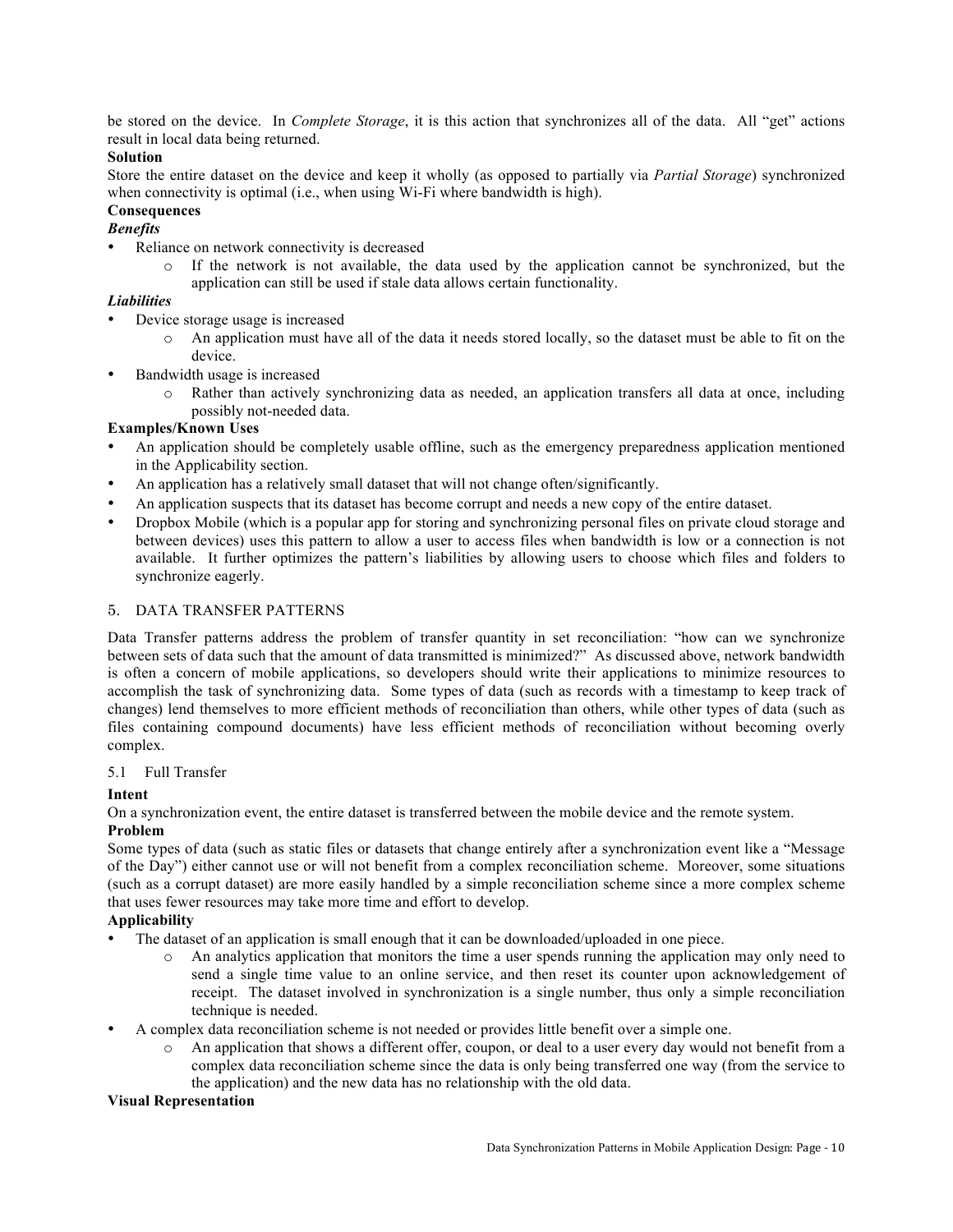be stored on the device. In *Complete Storage*, it is this action that synchronizes all of the data. All "get" actions result in local data being returned.

# **Solution**

Store the entire dataset on the device and keep it wholly (as opposed to partially via *Partial Storage*) synchronized when connectivity is optimal (i.e., when using Wi-Fi where bandwidth is high).

# **Consequences**

*Benefits*

- Reliance on network connectivity is decreased
	- o If the network is not available, the data used by the application cannot be synchronized, but the application can still be used if stale data allows certain functionality.

# *Liabilities*

- Device storage usage is increased
	- An application must have all of the data it needs stored locally, so the dataset must be able to fit on the device.
- Bandwidth usage is increased
	- o Rather than actively synchronizing data as needed, an application transfers all data at once, including possibly not-needed data.

# **Examples/Known Uses**

- An application should be completely usable offline, such as the emergency preparedness application mentioned in the Applicability section.
- An application has a relatively small dataset that will not change often/significantly.
- An application suspects that its dataset has become corrupt and needs a new copy of the entire dataset.
- Dropbox Mobile (which is a popular app for storing and synchronizing personal files on private cloud storage and between devices) uses this pattern to allow a user to access files when bandwidth is low or a connection is not available. It further optimizes the pattern's liabilities by allowing users to choose which files and folders to synchronize eagerly.

# 5. DATA TRANSFER PATTERNS

Data Transfer patterns address the problem of transfer quantity in set reconciliation: "how can we synchronize between sets of data such that the amount of data transmitted is minimized?" As discussed above, network bandwidth is often a concern of mobile applications, so developers should write their applications to minimize resources to accomplish the task of synchronizing data. Some types of data (such as records with a timestamp to keep track of changes) lend themselves to more efficient methods of reconciliation than others, while other types of data (such as files containing compound documents) have less efficient methods of reconciliation without becoming overly complex.

# 5.1 Full Transfer

# **Intent**

On a synchronization event, the entire dataset is transferred between the mobile device and the remote system.

# **Problem**

Some types of data (such as static files or datasets that change entirely after a synchronization event like a "Message of the Day") either cannot use or will not benefit from a complex reconciliation scheme. Moreover, some situations (such as a corrupt dataset) are more easily handled by a simple reconciliation scheme since a more complex scheme that uses fewer resources may take more time and effort to develop.

# **Applicability**

- The dataset of an application is small enough that it can be downloaded/uploaded in one piece.
	- $\circ$  An analytics application that monitors the time a user spends running the application may only need to send a single time value to an online service, and then reset its counter upon acknowledgement of receipt. The dataset involved in synchronization is a single number, thus only a simple reconciliation technique is needed.
- A complex data reconciliation scheme is not needed or provides little benefit over a simple one.
	- o An application that shows a different offer, coupon, or deal to a user every day would not benefit from a complex data reconciliation scheme since the data is only being transferred one way (from the service to the application) and the new data has no relationship with the old data.

# **Visual Representation**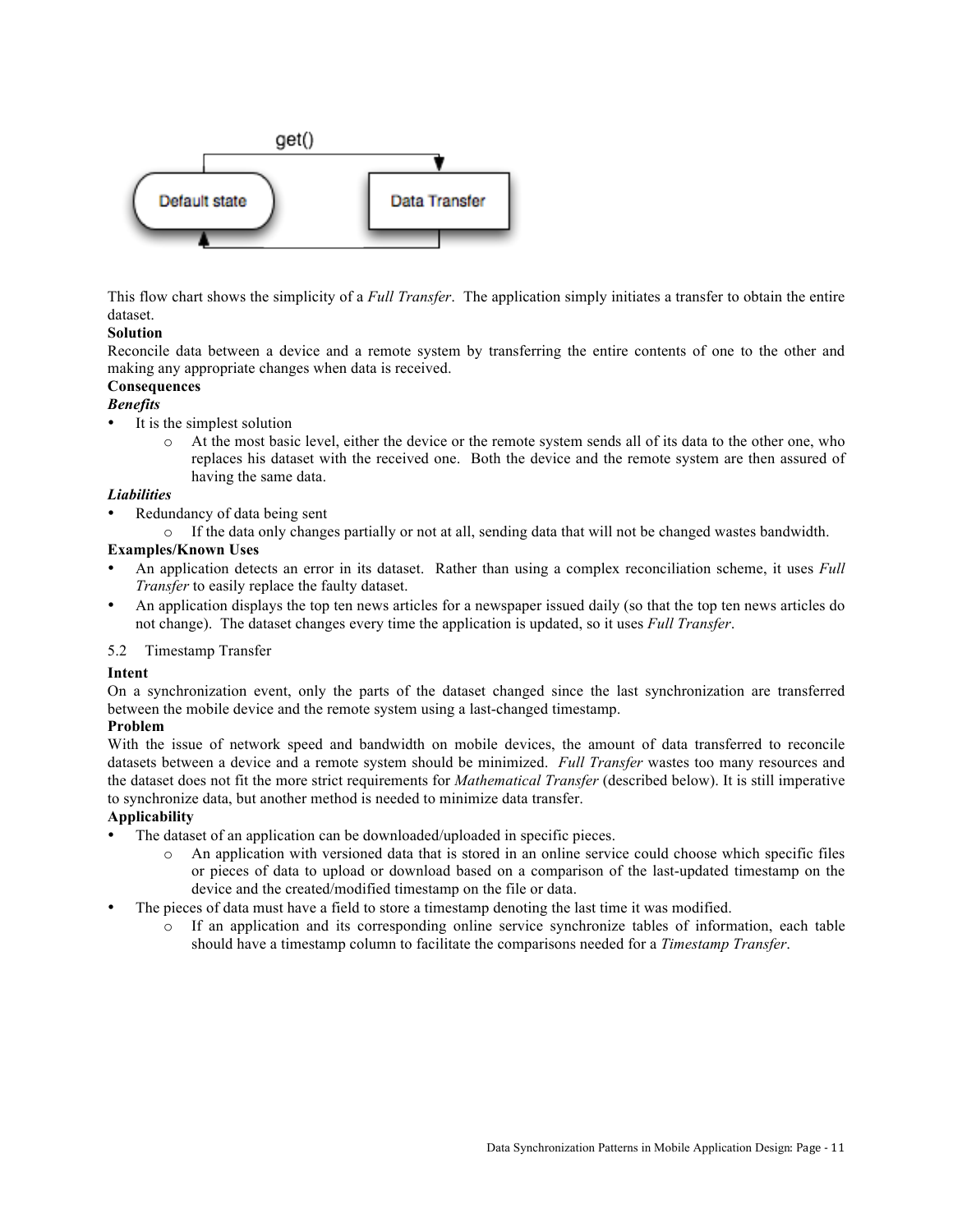

This flow chart shows the simplicity of a *Full Transfer*. The application simply initiates a transfer to obtain the entire dataset.

# **Solution**

Reconcile data between a device and a remote system by transferring the entire contents of one to the other and making any appropriate changes when data is received.

# **Consequences**

# *Benefits*

- It is the simplest solution
	- At the most basic level, either the device or the remote system sends all of its data to the other one, who replaces his dataset with the received one. Both the device and the remote system are then assured of having the same data.

# *Liabilities*

- Redundancy of data being sent
	- o If the data only changes partially or not at all, sending data that will not be changed wastes bandwidth.

# **Examples/Known Uses**

- An application detects an error in its dataset. Rather than using a complex reconciliation scheme, it uses *Full Transfer* to easily replace the faulty dataset.
- An application displays the top ten news articles for a newspaper issued daily (so that the top ten news articles do not change). The dataset changes every time the application is updated, so it uses *Full Transfer*.

# 5.2 Timestamp Transfer

# **Intent**

On a synchronization event, only the parts of the dataset changed since the last synchronization are transferred between the mobile device and the remote system using a last-changed timestamp.

# **Problem**

With the issue of network speed and bandwidth on mobile devices, the amount of data transferred to reconcile datasets between a device and a remote system should be minimized. *Full Transfer* wastes too many resources and the dataset does not fit the more strict requirements for *Mathematical Transfer* (described below). It is still imperative to synchronize data, but another method is needed to minimize data transfer.

# **Applicability**

- The dataset of an application can be downloaded/uploaded in specific pieces.
	- o An application with versioned data that is stored in an online service could choose which specific files or pieces of data to upload or download based on a comparison of the last-updated timestamp on the device and the created/modified timestamp on the file or data.
- The pieces of data must have a field to store a timestamp denoting the last time it was modified.
	- o If an application and its corresponding online service synchronize tables of information, each table should have a timestamp column to facilitate the comparisons needed for a *Timestamp Transfer*.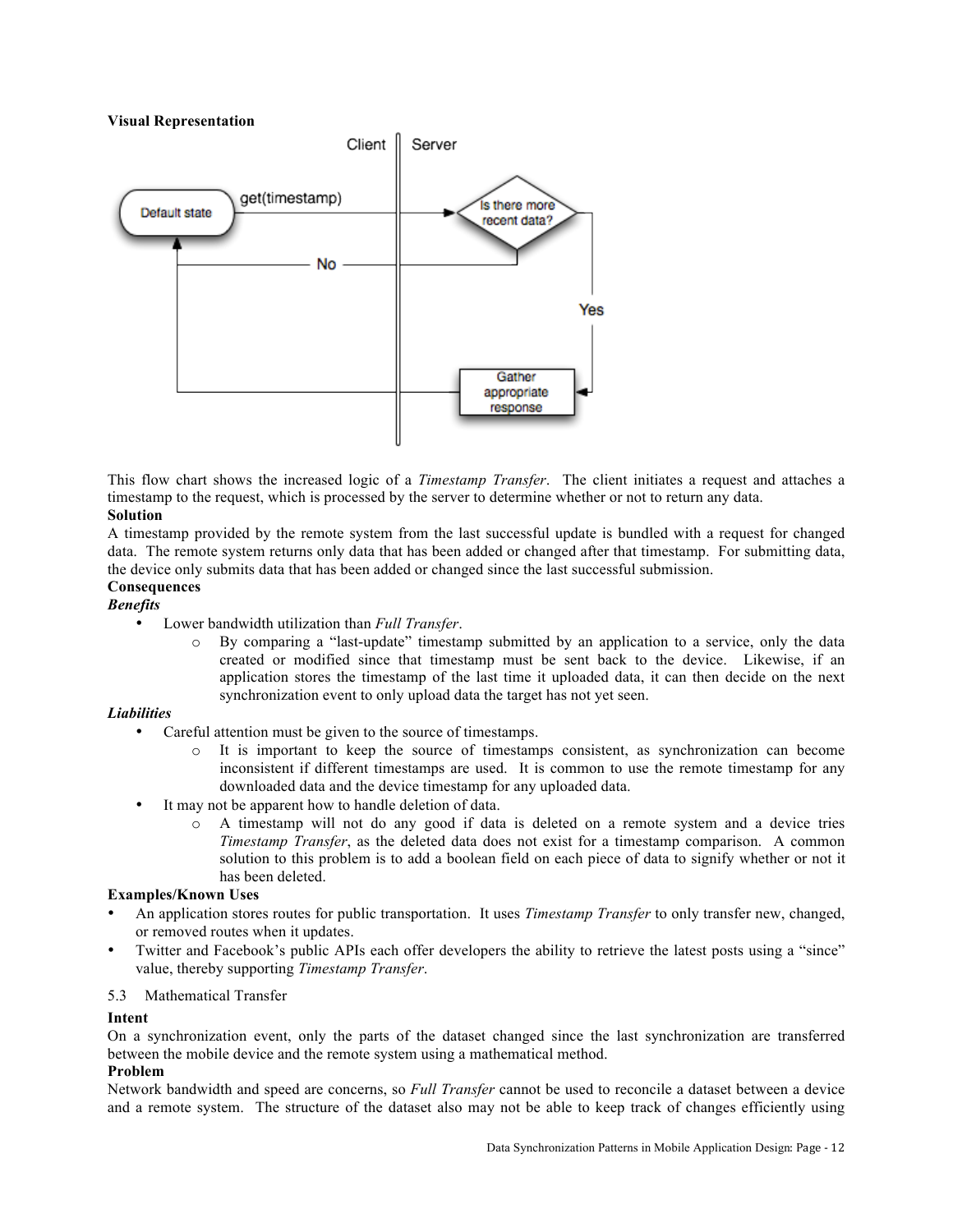#### **Visual Representation**



This flow chart shows the increased logic of a *Timestamp Transfer*. The client initiates a request and attaches a timestamp to the request, which is processed by the server to determine whether or not to return any data. **Solution**

A timestamp provided by the remote system from the last successful update is bundled with a request for changed data. The remote system returns only data that has been added or changed after that timestamp. For submitting data, the device only submits data that has been added or changed since the last successful submission.

# **Consequences**

# *Benefits*

- Lower bandwidth utilization than *Full Transfer*.
	- By comparing a "last-update" timestamp submitted by an application to a service, only the data created or modified since that timestamp must be sent back to the device. Likewise, if an application stores the timestamp of the last time it uploaded data, it can then decide on the next synchronization event to only upload data the target has not yet seen.

#### *Liabilities*

- Careful attention must be given to the source of timestamps.
	- o It is important to keep the source of timestamps consistent, as synchronization can become inconsistent if different timestamps are used. It is common to use the remote timestamp for any downloaded data and the device timestamp for any uploaded data.
- It may not be apparent how to handle deletion of data.
	- o A timestamp will not do any good if data is deleted on a remote system and a device tries *Timestamp Transfer*, as the deleted data does not exist for a timestamp comparison. A common solution to this problem is to add a boolean field on each piece of data to signify whether or not it has been deleted.

# **Examples/Known Uses**

- An application stores routes for public transportation. It uses *Timestamp Transfer* to only transfer new, changed, or removed routes when it updates.
- Twitter and Facebook's public APIs each offer developers the ability to retrieve the latest posts using a "since" value, thereby supporting *Timestamp Transfer*.

#### 5.3 Mathematical Transfer

#### **Intent**

On a synchronization event, only the parts of the dataset changed since the last synchronization are transferred between the mobile device and the remote system using a mathematical method.

#### **Problem**

Network bandwidth and speed are concerns, so *Full Transfer* cannot be used to reconcile a dataset between a device and a remote system. The structure of the dataset also may not be able to keep track of changes efficiently using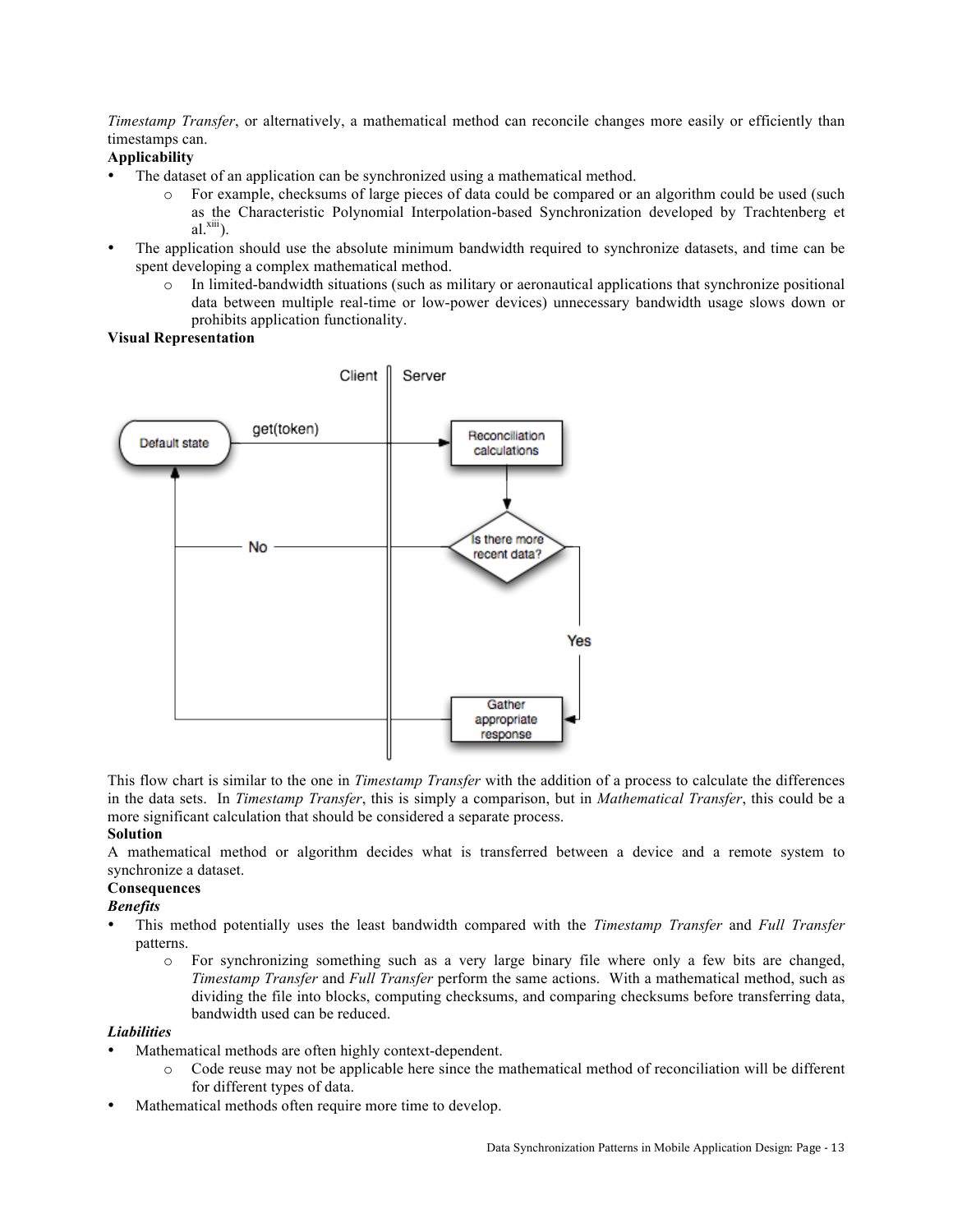*Timestamp Transfer*, or alternatively, a mathematical method can reconcile changes more easily or efficiently than timestamps can.

# **Applicability**

- The dataset of an application can be synchronized using a mathematical method.
	- o For example, checksums of large pieces of data could be compared or an algorithm could be used (such as the Characteristic Polynomial Interpolation-based Synchronization developed by Trachtenberg et  $al.$ <sup>xiii</sup>).
- The application should use the absolute minimum bandwidth required to synchronize datasets, and time can be spent developing a complex mathematical method.
	- o In limited-bandwidth situations (such as military or aeronautical applications that synchronize positional data between multiple real-time or low-power devices) unnecessary bandwidth usage slows down or prohibits application functionality.

# **Visual Representation**



This flow chart is similar to the one in *Timestamp Transfer* with the addition of a process to calculate the differences in the data sets. In *Timestamp Transfer*, this is simply a comparison, but in *Mathematical Transfer*, this could be a more significant calculation that should be considered a separate process.

# **Solution**

A mathematical method or algorithm decides what is transferred between a device and a remote system to synchronize a dataset.

# **Consequences**

# *Benefits*

- This method potentially uses the least bandwidth compared with the *Timestamp Transfer* and *Full Transfer* patterns.
	- o For synchronizing something such as a very large binary file where only a few bits are changed, *Timestamp Transfer* and *Full Transfer* perform the same actions. With a mathematical method, such as dividing the file into blocks, computing checksums, and comparing checksums before transferring data, bandwidth used can be reduced.

# *Liabilities*

- Mathematical methods are often highly context-dependent.
	- o Code reuse may not be applicable here since the mathematical method of reconciliation will be different for different types of data.
- Mathematical methods often require more time to develop.